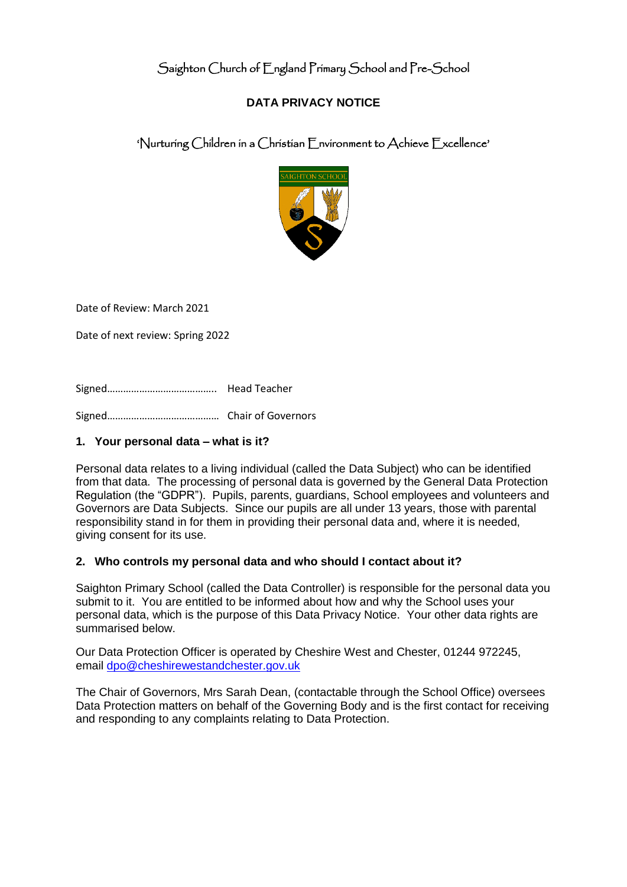# Saighton Church of England Primary School and Pre-School

## **DATA PRIVACY NOTICE**

'Nurturing Children in a Christian Environment to Achieve Excellence'



Date of Review: March 2021

Date of next review: Spring 2022

Signed………………………………….. Head Teacher

Signed…………………………………… Chair of Governors

#### **1. Your personal data – what is it?**

Personal data relates to a living individual (called the Data Subject) who can be identified from that data. The processing of personal data is governed by the General Data Protection Regulation (the "GDPR"). Pupils, parents, guardians, School employees and volunteers and Governors are Data Subjects. Since our pupils are all under 13 years, those with parental responsibility stand in for them in providing their personal data and, where it is needed, giving consent for its use.

#### **2. Who controls my personal data and who should I contact about it?**

Saighton Primary School (called the Data Controller) is responsible for the personal data you submit to it. You are entitled to be informed about how and why the School uses your personal data, which is the purpose of this Data Privacy Notice. Your other data rights are summarised below.

Our Data Protection Officer is operated by Cheshire West and Chester, 01244 972245, email [dpo@cheshirewestandchester.gov.uk](mailto:dpo@cheshirewestandchester.gov.uk)

The Chair of Governors, Mrs Sarah Dean, (contactable through the School Office) oversees Data Protection matters on behalf of the Governing Body and is the first contact for receiving and responding to any complaints relating to Data Protection.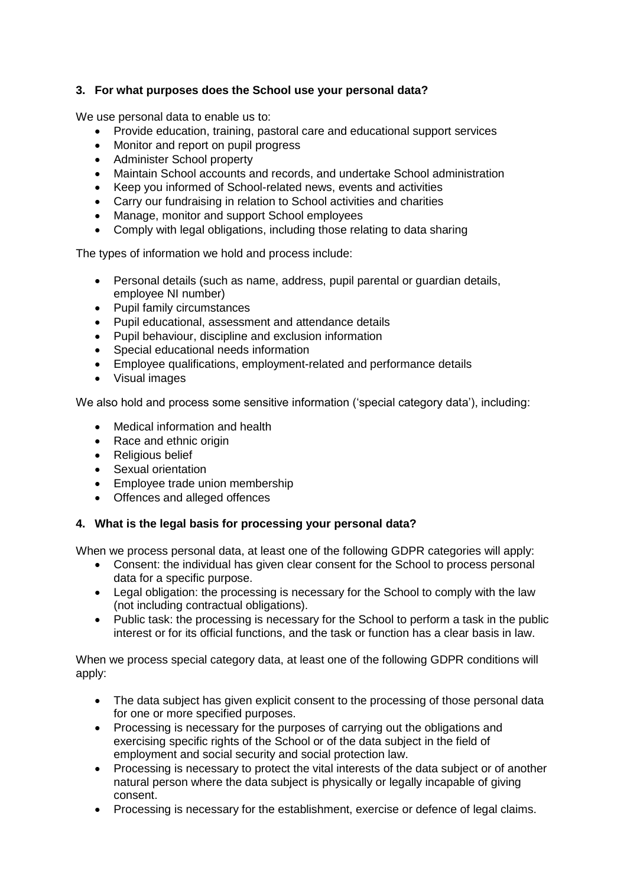## **3. For what purposes does the School use your personal data?**

We use personal data to enable us to:

- Provide education, training, pastoral care and educational support services
- Monitor and report on pupil progress
- Administer School property
- Maintain School accounts and records, and undertake School administration
- Keep you informed of School-related news, events and activities
- Carry our fundraising in relation to School activities and charities
- Manage, monitor and support School employees
- Comply with legal obligations, including those relating to data sharing

The types of information we hold and process include:

- Personal details (such as name, address, pupil parental or guardian details, employee NI number)
- Pupil family circumstances
- Pupil educational, assessment and attendance details
- Pupil behaviour, discipline and exclusion information
- Special educational needs information
- Employee qualifications, employment-related and performance details
- Visual images

We also hold and process some sensitive information ('special category data'), including:

- Medical information and health
- Race and ethnic origin
- Religious belief
- Sexual orientation
- Employee trade union membership
- Offences and alleged offences

#### **4. What is the legal basis for processing your personal data?**

When we process personal data, at least one of the following GDPR categories will apply:

- Consent: the individual has given clear consent for the School to process personal data for a specific purpose.
- Legal obligation: the processing is necessary for the School to comply with the law (not including contractual obligations).
- Public task: the processing is necessary for the School to perform a task in the public interest or for its official functions, and the task or function has a clear basis in law.

When we process special category data, at least one of the following GDPR conditions will apply:

- The data subject has given explicit consent to the processing of those personal data for one or more specified purposes.
- Processing is necessary for the purposes of carrying out the obligations and exercising specific rights of the School or of the data subject in the field of employment and social security and social protection law.
- Processing is necessary to protect the vital interests of the data subject or of another natural person where the data subject is physically or legally incapable of giving consent.
- Processing is necessary for the establishment, exercise or defence of legal claims.